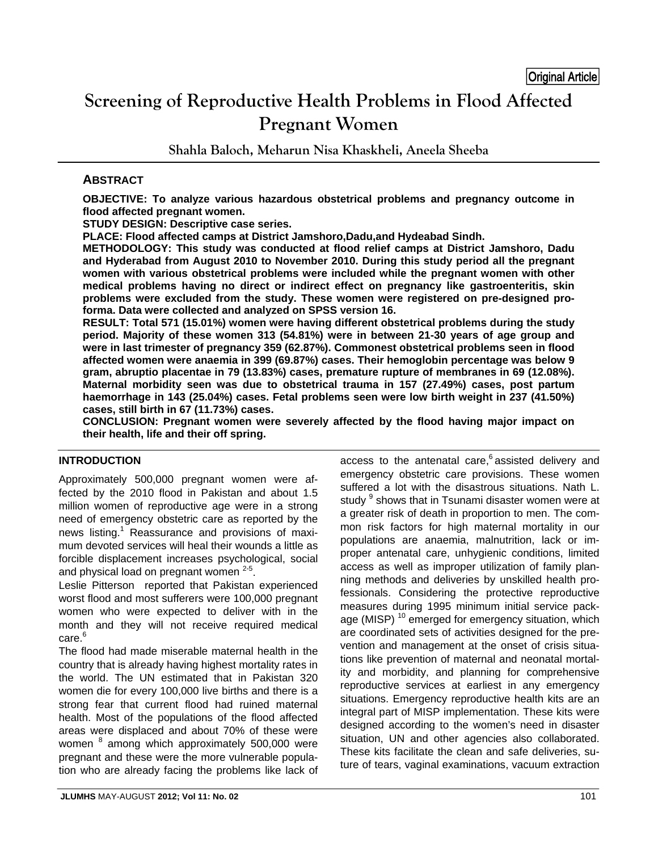# **Screening of Reproductive Health Problems in Flood Affected Pregnant Women**

**Shahla Baloch, Meharun Nisa Khaskheli, Aneela Sheeba** 

# **ABSTRACT**

**OBJECTIVE: To analyze various hazardous obstetrical problems and pregnancy outcome in flood affected pregnant women.** 

**STUDY DESIGN: Descriptive case series.** 

**PLACE: Flood affected camps at District Jamshoro,Dadu,and Hydeabad Sindh.** 

**METHODOLOGY: This study was conducted at flood relief camps at District Jamshoro, Dadu and Hyderabad from August 2010 to November 2010. During this study period all the pregnant women with various obstetrical problems were included while the pregnant women with other medical problems having no direct or indirect effect on pregnancy like gastroenteritis, skin problems were excluded from the study. These women were registered on pre-designed proforma. Data were collected and analyzed on SPSS version 16.** 

**RESULT: Total 571 (15.01%) women were having different obstetrical problems during the study period. Majority of these women 313 (54.81%) were in between 21-30 years of age group and were in last trimester of pregnancy 359 (62.87%). Commonest obstetrical problems seen in flood affected women were anaemia in 399 (69.87%) cases. Their hemoglobin percentage was below 9 gram, abruptio placentae in 79 (13.83%) cases, premature rupture of membranes in 69 (12.08%). Maternal morbidity seen was due to obstetrical trauma in 157 (27.49%) cases, post partum haemorrhage in 143 (25.04%) cases. Fetal problems seen were low birth weight in 237 (41.50%) cases, still birth in 67 (11.73%) cases.** 

**CONCLUSION: Pregnant women were severely affected by the flood having major impact on their health, life and their off spring.** 

# **INTRODUCTION**

Approximately 500,000 pregnant women were affected by the 2010 flood in Pakistan and about 1.5 million women of reproductive age were in a strong need of emergency obstetric care as reported by the news listing.<sup>1</sup> Reassurance and provisions of maximum devoted services will heal their wounds a little as forcible displacement increases psychological, social and physical load on pregnant women  $2-5$ .

Leslie Pitterson reported that Pakistan experienced worst flood and most sufferers were 100,000 pregnant women who were expected to deliver with in the month and they will not receive required medical care.<sup>6</sup>

The flood had made miserable maternal health in the country that is already having highest mortality rates in the world. The UN estimated that in Pakistan 320 women die for every 100,000 live births and there is a strong fear that current flood had ruined maternal health. Most of the populations of the flood affected areas were displaced and about 70% of these were women <sup>8</sup> among which approximately 500,000 were pregnant and these were the more vulnerable population who are already facing the problems like lack of

access to the antenatal care, $6$  assisted delivery and emergency obstetric care provisions. These women suffered a lot with the disastrous situations. Nath L. study <sup>9</sup> shows that in Tsunami disaster women were at a greater risk of death in proportion to men. The common risk factors for high maternal mortality in our populations are anaemia, malnutrition, lack or improper antenatal care, unhygienic conditions, limited access as well as improper utilization of family planning methods and deliveries by unskilled health professionals. Considering the protective reproductive measures during 1995 minimum initial service package (MISP)<sup>10</sup> emerged for emergency situation, which are coordinated sets of activities designed for the prevention and management at the onset of crisis situations like prevention of maternal and neonatal mortality and morbidity, and planning for comprehensive reproductive services at earliest in any emergency situations. Emergency reproductive health kits are an integral part of MISP implementation. These kits were designed according to the women's need in disaster situation, UN and other agencies also collaborated. These kits facilitate the clean and safe deliveries, suture of tears, vaginal examinations, vacuum extraction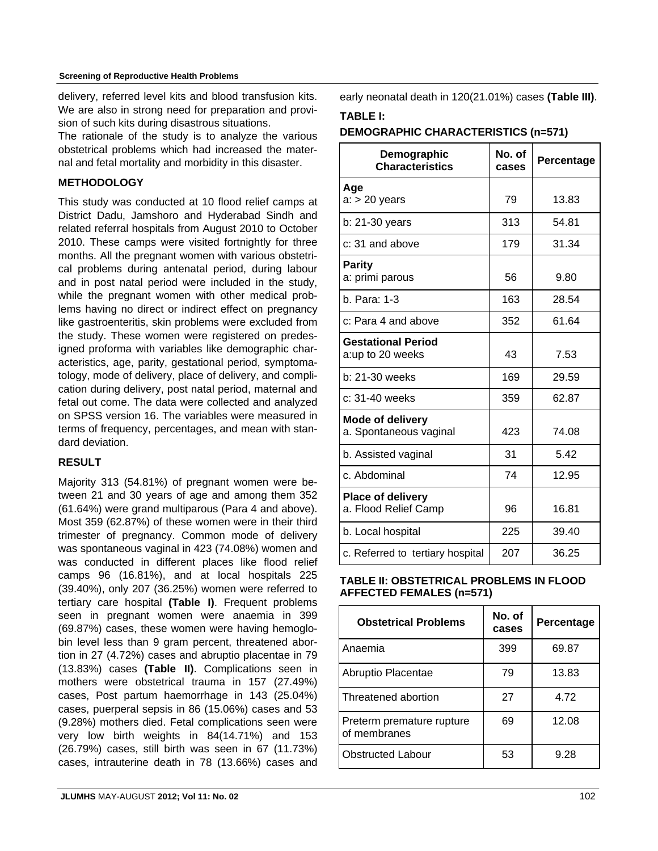delivery, referred level kits and blood transfusion kits. We are also in strong need for preparation and provision of such kits during disastrous situations.

The rationale of the study is to analyze the various obstetrical problems which had increased the maternal and fetal mortality and morbidity in this disaster.

# **METHODOLOGY**

This study was conducted at 10 flood relief camps at District Dadu, Jamshoro and Hyderabad Sindh and related referral hospitals from August 2010 to October 2010. These camps were visited fortnightly for three months. All the pregnant women with various obstetrical problems during antenatal period, during labour and in post natal period were included in the study, while the pregnant women with other medical problems having no direct or indirect effect on pregnancy like gastroenteritis, skin problems were excluded from the study. These women were registered on predesigned proforma with variables like demographic characteristics, age, parity, gestational period, symptomatology, mode of delivery, place of delivery, and complication during delivery, post natal period, maternal and fetal out come. The data were collected and analyzed on SPSS version 16. The variables were measured in terms of frequency, percentages, and mean with standard deviation.

# **RESULT**

Majority 313 (54.81%) of pregnant women were between 21 and 30 years of age and among them 352 (61.64%) were grand multiparous (Para 4 and above). Most 359 (62.87%) of these women were in their third trimester of pregnancy. Common mode of delivery was spontaneous vaginal in 423 (74.08%) women and was conducted in different places like flood relief camps 96 (16.81%), and at local hospitals 225 (39.40%), only 207 (36.25%) women were referred to tertiary care hospital **(Table I)**. Frequent problems seen in pregnant women were anaemia in 399 (69.87%) cases, these women were having hemoglobin level less than 9 gram percent, threatened abortion in 27 (4.72%) cases and abruptio placentae in 79 (13.83%) cases **(Table II)**. Complications seen in mothers were obstetrical trauma in 157 (27.49%) cases, Post partum haemorrhage in 143 (25.04%) cases, puerperal sepsis in 86 (15.06%) cases and 53 (9.28%) mothers died. Fetal complications seen were very low birth weights in 84(14.71%) and 153 (26.79%) cases, still birth was seen in 67 (11.73%) cases, intrauterine death in 78 (13.66%) cases and

early neonatal death in 120(21.01%) cases **(Table III)**.

### **TABLE I:**

#### **DEMOGRAPHIC CHARACTERISTICS (n=571)**

| Demographic<br><b>Characteristics</b>             | No. of<br>cases | Percentage |
|---------------------------------------------------|-----------------|------------|
| Age<br>$a:$ > 20 years                            | 79              | 13.83      |
| b: 21-30 years                                    | 313             | 54.81      |
| $c: 31$ and above                                 | 179             | 31.34      |
| <b>Parity</b><br>a: primi parous                  | 56              | 9.80       |
| b. Para: 1-3                                      | 163             | 28.54      |
| c: Para 4 and above                               | 352             | 61.64      |
| <b>Gestational Period</b><br>a:up to 20 weeks     | 43              | 7.53       |
| b: 21-30 weeks                                    | 169             | 29.59      |
| c: 31-40 weeks                                    | 359             | 62.87      |
| <b>Mode of delivery</b><br>a. Spontaneous vaginal | 423             | 74.08      |
| b. Assisted vaginal                               | 31              | 5.42       |
| c. Abdominal                                      | 74              | 12.95      |
| <b>Place of delivery</b><br>a. Flood Relief Camp  | 96              | 16.81      |
| b. Local hospital                                 | 225             | 39.40      |
| c. Referred to tertiary hospital                  | 207             | 36.25      |

#### **TABLE II: OBSTETRICAL PROBLEMS IN FLOOD AFFECTED FEMALES (n=571)**

| <b>Obstetrical Problems</b>               | No. of<br>cases | Percentage |
|-------------------------------------------|-----------------|------------|
| Anaemia                                   | 399             | 69.87      |
| Abruptio Placentae                        | 79              | 13.83      |
| Threatened abortion                       | 27              | 4.72       |
| Preterm premature rupture<br>of membranes | 69              | 12.08      |
| <b>Obstructed Labour</b>                  | 53              | 9.28       |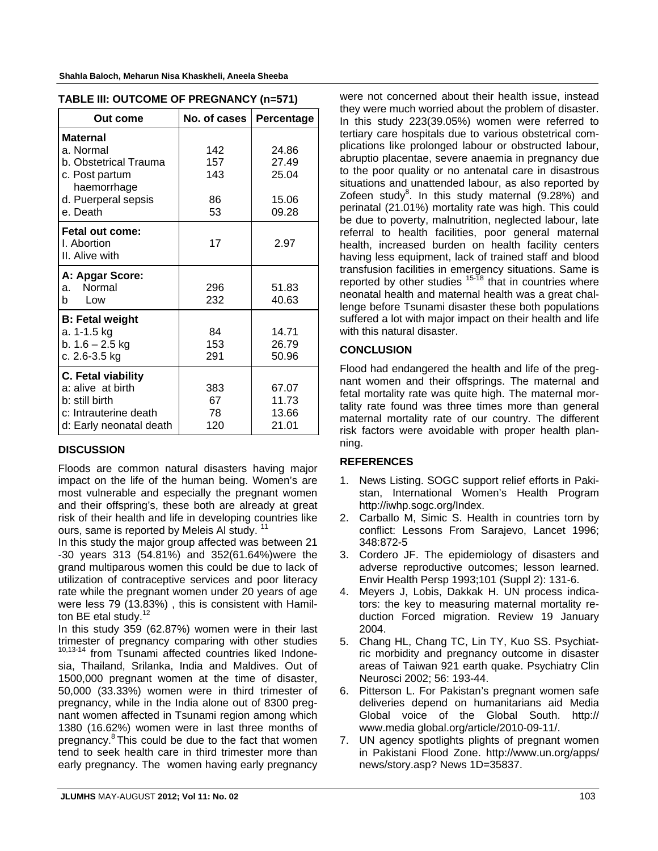| TABLE III: OUTCOME OF PREGNANCY (n=571)                                                                                   |                               |                                           |  |  |
|---------------------------------------------------------------------------------------------------------------------------|-------------------------------|-------------------------------------------|--|--|
| Out come                                                                                                                  | No. of cases                  | Percentage                                |  |  |
| <b>Maternal</b><br>a. Normal<br>b. Obstetrical Trauma<br>c. Post partum<br>haemorrhage<br>d. Puerperal sepsis<br>e. Death | 142<br>157<br>143<br>86<br>53 | 24.86<br>27.49<br>25.04<br>15.06<br>09.28 |  |  |
| Fetal out come:<br>I. Abortion<br>II. Alive with                                                                          | 17                            | 2.97                                      |  |  |
| A: Apgar Score:<br>a. Normal<br>Low<br>b                                                                                  | 296<br>232                    | 51.83<br>40.63                            |  |  |
| <b>B: Fetal weight</b><br>a. 1-1.5 kg<br>b. $1.6 - 2.5$ kg<br>c. 2.6-3.5 kg                                               | 84<br>153<br>291              | 14.71<br>26.79<br>50.96                   |  |  |
| C. Fetal viability<br>a: alive at birth<br>b: still birth<br>c: Intrauterine death<br>d: Early neonatal death             | 383<br>67<br>78<br>120        | 67.07<br>11.73<br>13.66<br>21.01          |  |  |

|  | Shania Baluch, Menarun Nisa Khaskhell, Aneela Sheeba |  |
|--|------------------------------------------------------|--|
|  |                                                      |  |

# **DISCUSSION**

Floods are common natural disasters having major impact on the life of the human being. Women's are most vulnerable and especially the pregnant women and their offspring's, these both are already at great risk of their health and life in developing countries like ours, same is reported by Meleis Al study.<sup>11</sup>

In this study the major group affected was between 21 -30 years 313 (54.81%) and 352(61.64%)were the grand multiparous women this could be due to lack of utilization of contraceptive services and poor literacy rate while the pregnant women under 20 years of age were less 79 (13.83%) , this is consistent with Hamilton BE etal study.<sup>12</sup>

In this study 359 (62.87%) women were in their last trimester of pregnancy comparing with other studies 10,13-14 from Tsunami affected countries liked Indonesia, Thailand, Srilanka, India and Maldives. Out of 1500,000 pregnant women at the time of disaster, 50,000 (33.33%) women were in third trimester of pregnancy, while in the India alone out of 8300 pregnant women affected in Tsunami region among which 1380 (16.62%) women were in last three months of pregnancy.8 This could be due to the fact that women tend to seek health care in third trimester more than early pregnancy. The women having early pregnancy

were not concerned about their health issue, instead they were much worried about the problem of disaster. In this study 223(39.05%) women were referred to tertiary care hospitals due to various obstetrical complications like prolonged labour or obstructed labour, abruptio placentae, severe anaemia in pregnancy due to the poor quality or no antenatal care in disastrous situations and unattended labour, as also reported by Zofeen study $8$ . In this study maternal (9.28%) and perinatal (21.01%) mortality rate was high. This could be due to poverty, malnutrition, neglected labour, late referral to health facilities, poor general maternal health, increased burden on health facility centers having less equipment, lack of trained staff and blood transfusion facilities in emergency situations. Same is reported by other studies  $15-78$  that in countries where neonatal health and maternal health was a great challenge before Tsunami disaster these both populations suffered a lot with major impact on their health and life with this natural disaster.

# **CONCLUSION**

Flood had endangered the health and life of the pregnant women and their offsprings. The maternal and fetal mortality rate was quite high. The maternal mortality rate found was three times more than general maternal mortality rate of our country. The different risk factors were avoidable with proper health planning.

#### **REFERENCES**

- 1. News Listing. SOGC support relief efforts in Pakistan, International Women's Health Program http://iwhp.sogc.org/Index.
- 2. Carballo M, Simic S. Health in countries torn by conflict: Lessons From Sarajevo, Lancet 1996; 348:872-5
- 3. Cordero JF. The epidemiology of disasters and adverse reproductive outcomes; lesson learned. Envir Health Persp 1993;101 (Suppl 2): 131-6.
- 4. Meyers J, Lobis, Dakkak H. UN process indicators: the key to measuring maternal mortality reduction Forced migration. Review 19 January 2004.
- 5. Chang HL, Chang TC, Lin TY, Kuo SS. Psychiatric morbidity and pregnancy outcome in disaster areas of Taiwan 921 earth quake. Psychiatry Clin Neurosci 2002; 56: 193-44.
- 6. Pitterson L. For Pakistan's pregnant women safe deliveries depend on humanitarians aid Media Global voice of the Global South. http:// www.media global.org/article/2010-09-11/.
- UN agency spotlights plights of pregnant women in Pakistani Flood Zone. http://www.un.org/apps/ news/story.asp? News 1D=35837.